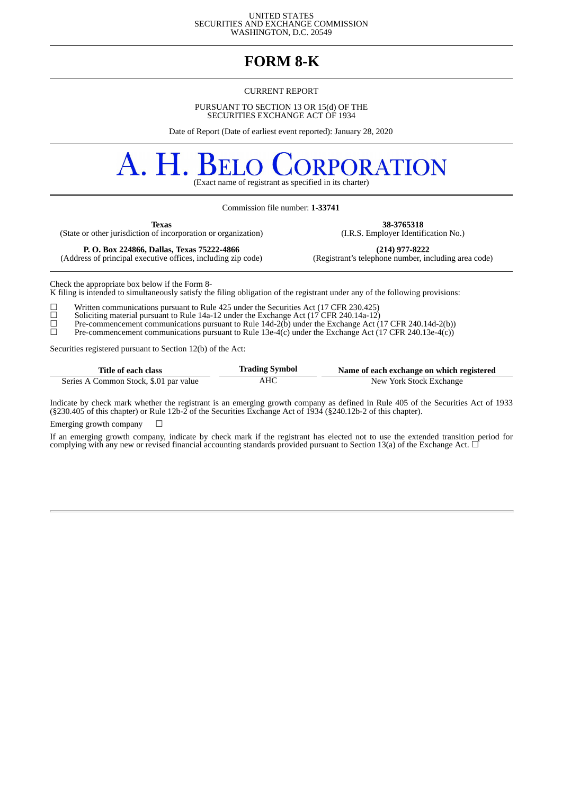UNITED STATES SECURITIES AND EXCHANGE COMMISSION WASHINGTON, D.C. 20549

# **FORM 8-K**

#### CURRENT REPORT

PURSUANT TO SECTION 13 OR 15(d) OF THE SECURITIES EXCHANGE ACT OF 1934

Date of Report (Date of earliest event reported): January 28, 2020

# A. H. **RPORATION** (Exact name of registrant as specified in its charter)

Commission file number: **1-33741**

(State or other jurisdiction of incorporation or organization)

**Texas 38-3765318**<br>
of incorporation or organization) (I.R.S. Employer Identification No.)

(Address of principal executive offices, including zip code)

**P. O. Box 224866, Dallas, Texas 75222-4866 (214) 977-8222**

Check the appropriate box below if the Form 8-

K filing is intended to simultaneously satisfy the filing obligation of the registrant under any of the following provisions:

 $\Box$  Written communications pursuant to Rule 425 under the Securities Act (17 CFR 230.425) Soliciting material pursuant to Rule 14a-12 under the Exchange Act (17 CFR 240.14a-12) ☐ Soliciting material pursuant to Rule 14a-12 under the Exchange Act (17 CFR 240.14a-12)

 $\Box$  Pre-commencement communications pursuant to Rule 14d-2(b) under the Exchange Act (17 CFR 240.14d-2(b))

 $\Box$  Pre-commencement communications pursuant to Rule 13e-4(c) under the Exchange Act (17 CFR 240.13e-4(c))

Securities registered pursuant to Section 12(b) of the Act:

| Title of each class                    | <b>Trading Symbol</b> | Name of each exchange on which registered |
|----------------------------------------|-----------------------|-------------------------------------------|
| Series A Common Stock, \$.01 par value | AHC                   | New York Stock Exchange                   |

Indicate by check mark whether the registrant is an emerging growth company as defined in Rule 405 of the Securities Act of 1933 (§230.405 of this chapter) or Rule 12b-2 of the Securities Exchange Act of 1934 (§240.12b-2 of this chapter).

Emerging growth company  $\Box$ 

If an emerging growth company, indicate by check mark if the registrant has elected not to use the extended transition period for complying with any new or revised financial accounting standards provided pursuant to Section 13(a) of the Exchange Act.  $\Box$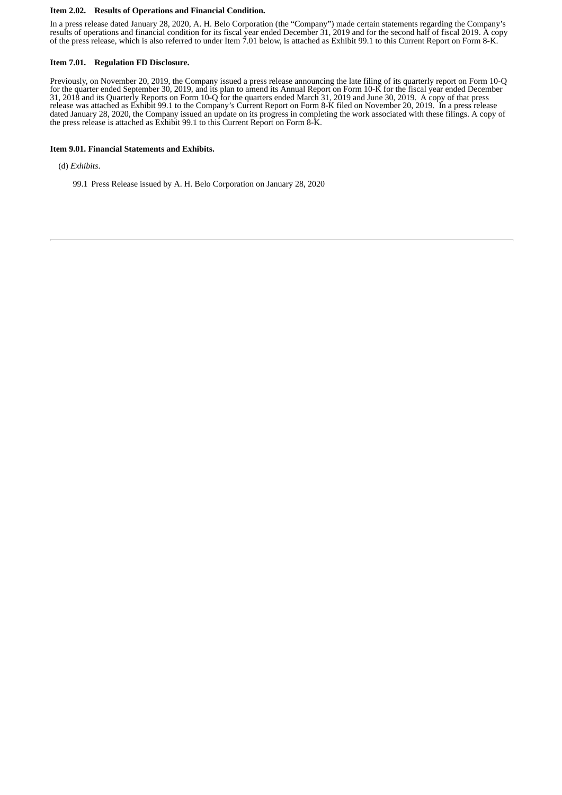#### **Item 2.02. Results of Operations and Financial Condition.**

In a press release dated January 28, 2020, A. H. Belo Corporation (the "Company") made certain statements regarding the Company's results of operations and financial condition for its fiscal year ended December 31, 2019 and for the second half of fiscal 2019. A copy of the press release, which is also referred to under Item 7.01 below, is attached as Exhibit 99.1 to this Current Report on Form 8-K.

#### **Item 7.01. Regulation FD Disclosure.**

Previously, on November 20, 2019, the Company issued a press release announcing the late filing of its quarterly report on Form 10-Q for the quarter ended September 30, 2019, and its plan to amend its Annual Report on Form 10-K for the fiscal year ended December 31, 2018 and its Quarterly Reports on Form 10-Q for the quarters ended March 31, 2019 and June 30, 2019. A copy of that press release was attached as Exhibit 99.1 to the Company's Current Report on Form 8-K filed on November 20, 2019. In a press release dated January 28, 2020, the Company issued an update on its progress in completing the work associated with these filings. A copy of the press release is attached as Exhibit 99.1 to this Current Report on Form 8-K.

#### **Item 9.01. Financial Statements and Exhibits.**

(d) *Exhibits*.

99.1 Press Release issued by A. H. Belo Corporation on January 28, 2020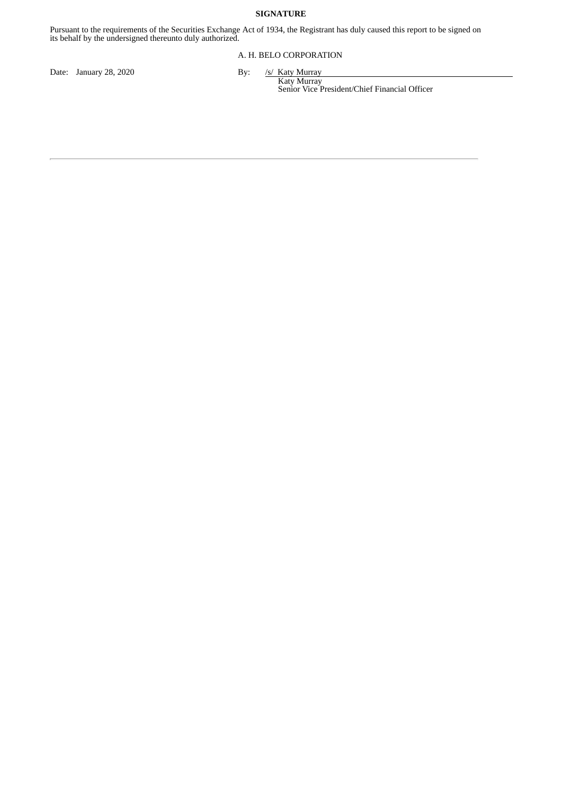# **SIGNATURE**

Pursuant to the requirements of the Securities Exchange Act of 1934, the Registrant has duly caused this report to be signed on its behalf by the undersigned thereunto duly authorized.

#### A. H. BELO CORPORATION

Date: January 28, 2020 By:

```
/s/ Katy Murray<br>Katy Murray
```
Senior Vice President/Chief Financial Officer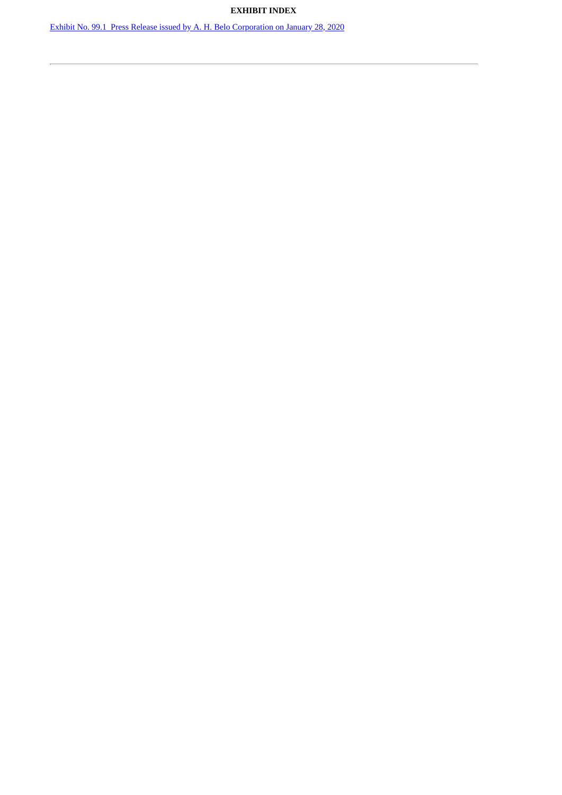# **EXHIBIT INDEX**

Exhibit No. 99.1 Press Release issued by A. H. Belo [Corporation](#page-4-0) on January 28, 2020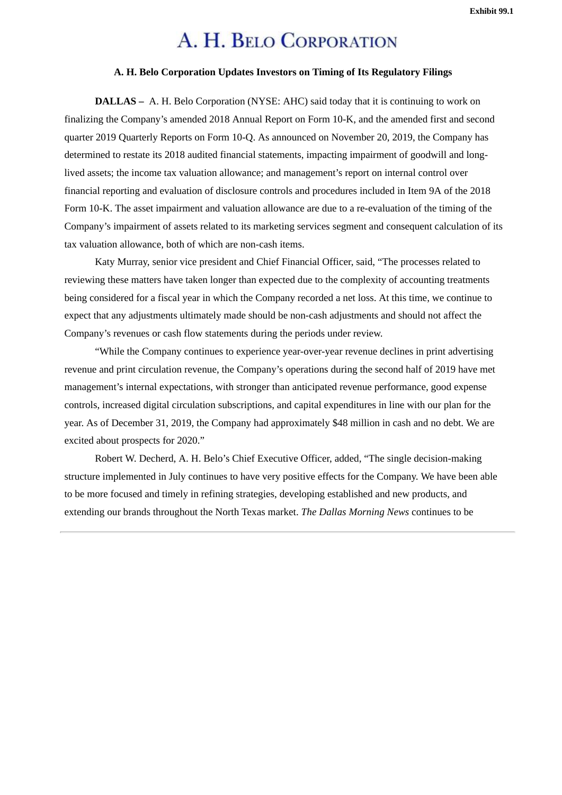# A. H. BELO CORPORATION

## **A. H. Belo Corporation Updates Investors on Timing of Its Regulatory Filings**

<span id="page-4-0"></span>**DALLAS –** A. H. Belo Corporation (NYSE: AHC) said today that it is continuing to work on finalizing the Company's amended 2018 Annual Report on Form 10-K, and the amended first and second quarter 2019 Quarterly Reports on Form 10-Q. As announced on November 20, 2019, the Company has determined to restate its 2018 audited financial statements, impacting impairment of goodwill and longlived assets; the income tax valuation allowance; and management's report on internal control over financial reporting and evaluation of disclosure controls and procedures included in Item 9A of the 2018 Form 10-K. The asset impairment and valuation allowance are due to a re-evaluation of the timing of the Company's impairment of assets related to its marketing services segment and consequent calculation of its tax valuation allowance, both of which are non-cash items.

Katy Murray, senior vice president and Chief Financial Officer, said, "The processes related to reviewing these matters have taken longer than expected due to the complexity of accounting treatments being considered for a fiscal year in which the Company recorded a net loss. At this time, we continue to expect that any adjustments ultimately made should be non-cash adjustments and should not affect the Company's revenues or cash flow statements during the periods under review.

"While the Company continues to experience year-over-year revenue declines in print advertising revenue and print circulation revenue, the Company's operations during the second half of 2019 have met management's internal expectations, with stronger than anticipated revenue performance, good expense controls, increased digital circulation subscriptions, and capital expenditures in line with our plan for the year. As of December 31, 2019, the Company had approximately \$48 million in cash and no debt. We are excited about prospects for 2020."

Robert W. Decherd, A. H. Belo's Chief Executive Officer, added, "The single decision-making structure implemented in July continues to have very positive effects for the Company. We have been able to be more focused and timely in refining strategies, developing established and new products, and extending our brands throughout the North Texas market. *The Dallas Morning News* continues to be